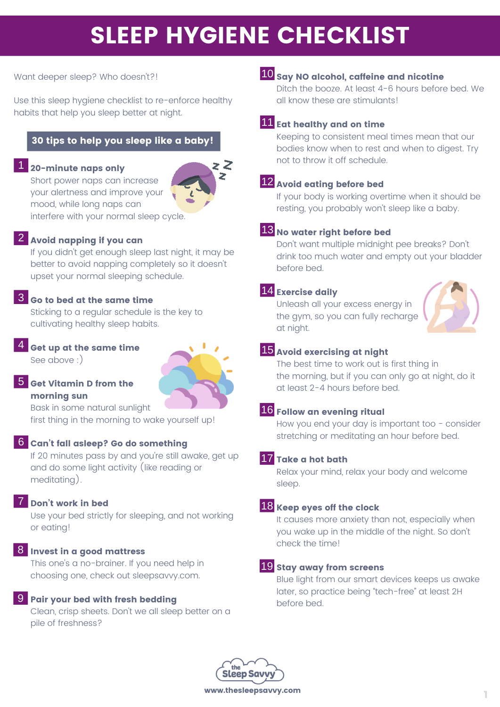# SLEEP HYGIENE CHECKLIST

Want deeper sleep? Who doesn't?!

Use this sleep hygiene checklist to re-enforce healthy habits that help you sleep better at night.

#### 30 tips to help you sleep like a baby!

### 1 20-minute naps only

Short power naps can increase your alertness and improve your mood, while long naps can interfere with your normal sleep cycle.



2 Avoid napping if you can

If you didn't get enough sleep last night, it may be better to avoid napping completely so it doesn't upset your normal sleeping schedule.

#### $\overline{\textbf{3}}$  Go to bed at the same time

Sticking to a regular schedule is the key to cultivating healthy sleep habits.

4 Get up at the same time See above :)



#### <mark>5</mark> Get Vitamin D from the morning sun

Bask in some natural sunlight first thing in the morning to wake yourself up!

#### 6 Can't fall asleep? Go do something

If 20 minutes pass by and you're still awake, get up and do some light activity (like reading or meditating).

#### 7 Don't work in bed

Use your bed strictly for sleeping, and not working or eating!

#### 8 Invest in a good mattress

This one's a no-brainer. If you need help in choosing one, check out sleepsavvy.com.

#### **9** Pair your bed with fresh bedding

Clean, crisp sheets. Don't we all sleep better on a pile of freshness?

### ${\bf 10}$  say NO alcohol, caffeine and nicotine

Ditch the booze. At least 4-6 hours before bed. We all know these are stimulants!

#### 11 Eat healthy and on time

Keeping to consistent meal times mean that our bodies know when to rest and when to digest. Try not to throw it off schedule.

#### 12 Avoid eating before bed

If your body is working overtime when it should be resting, you probably won't sleep like a baby.

#### $13$  No water right before bed

Don't want multiple midnight pee breaks? Don't drink too much water and empty out your bladder before bed.

#### 14 Exercise daily

Unleash all your excess energy in the gym, so you can fully recharge at night.



#### 15 Avoid exercising at night

The best time to work out is first thing in the morning, but if you can only go at night, do it at least 2-4 hours before bed.

#### 16 Follow an evening ritual

How you end your day is important too - consider stretching or meditating an hour before bed.

#### 17 Take a hot bath

Relax your mind, relax your body and welcome sleep.

#### 18 Keep eyes off the clock

It causes more anxiety than not, especially when you wake up in the middle of the night. So don't check the time!

#### 19 stay away from screens

Blue light from our smart devices keeps us awake later, so practice being "tech-free" at least 2H before bed.